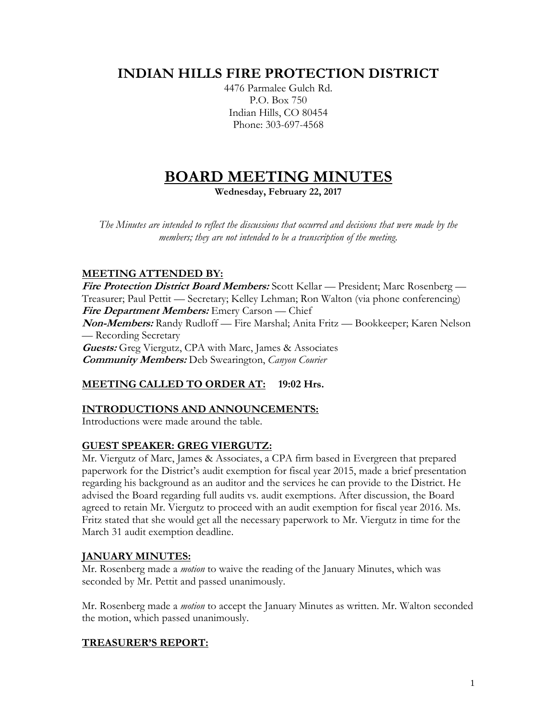# **INDIAN HILLS FIRE PROTECTION DISTRICT**

4476 Parmalee Gulch Rd. P.O. Box 750 Indian Hills, CO 80454 Phone: 303-697-4568

# **BOARD MEETING MINUTES**

**Wednesday, February 22, 2017**

*The Minutes are intended to reflect the discussions that occurred and decisions that were made by the members; they are not intended to be a transcription of the meeting.*

# **MEETING ATTENDED BY:**

**Fire Protection District Board Members:** Scott Kellar — President; Marc Rosenberg — Treasurer; Paul Pettit — Secretary; Kelley Lehman; Ron Walton (via phone conferencing) **Fire Department Members:** Emery Carson — Chief **Non-Members:** Randy Rudloff — Fire Marshal; Anita Fritz — Bookkeeper; Karen Nelson — Recording Secretary **Guests:** Greg Viergutz, CPA with Marc, James & Associates **Community Members:** Deb Swearington, *Canyon Courier*

# **MEETING CALLED TO ORDER AT: 19:02 Hrs.**

# **INTRODUCTIONS AND ANNOUNCEMENTS:**

Introductions were made around the table.

# **GUEST SPEAKER: GREG VIERGUTZ:**

Mr. Viergutz of Marc, James & Associates, a CPA firm based in Evergreen that prepared paperwork for the District's audit exemption for fiscal year 2015, made a brief presentation regarding his background as an auditor and the services he can provide to the District. He advised the Board regarding full audits vs. audit exemptions. After discussion, the Board agreed to retain Mr. Viergutz to proceed with an audit exemption for fiscal year 2016. Ms. Fritz stated that she would get all the necessary paperwork to Mr. Viergutz in time for the March 31 audit exemption deadline.

# **JANUARY MINUTES:**

Mr. Rosenberg made a *motion* to waive the reading of the January Minutes, which was seconded by Mr. Pettit and passed unanimously.

Mr. Rosenberg made a *motion* to accept the January Minutes as written. Mr. Walton seconded the motion, which passed unanimously.

# **TREASURER'S REPORT:**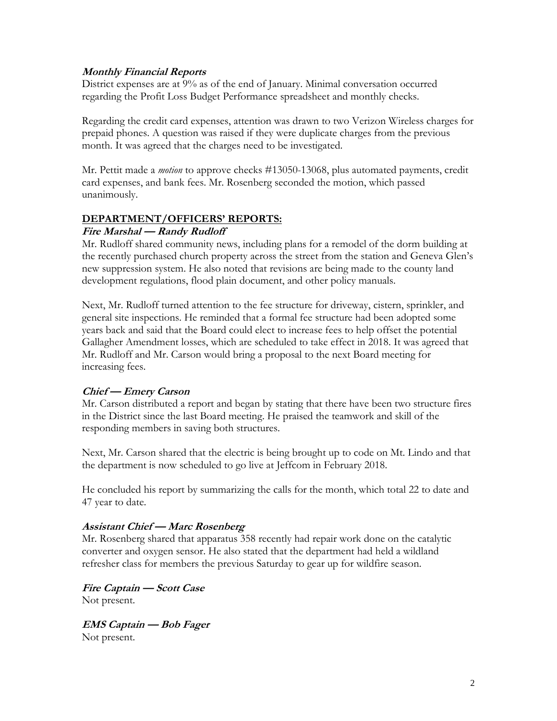#### **Monthly Financial Reports**

District expenses are at 9% as of the end of January. Minimal conversation occurred regarding the Profit Loss Budget Performance spreadsheet and monthly checks.

Regarding the credit card expenses, attention was drawn to two Verizon Wireless charges for prepaid phones. A question was raised if they were duplicate charges from the previous month. It was agreed that the charges need to be investigated.

Mr. Pettit made a *motion* to approve checks #13050-13068, plus automated payments, credit card expenses, and bank fees. Mr. Rosenberg seconded the motion, which passed unanimously.

# **DEPARTMENT/OFFICERS' REPORTS:**

#### **Fire Marshal — Randy Rudloff**

Mr. Rudloff shared community news, including plans for a remodel of the dorm building at the recently purchased church property across the street from the station and Geneva Glen's new suppression system. He also noted that revisions are being made to the county land development regulations, flood plain document, and other policy manuals.

Next, Mr. Rudloff turned attention to the fee structure for driveway, cistern, sprinkler, and general site inspections. He reminded that a formal fee structure had been adopted some years back and said that the Board could elect to increase fees to help offset the potential Gallagher Amendment losses, which are scheduled to take effect in 2018. It was agreed that Mr. Rudloff and Mr. Carson would bring a proposal to the next Board meeting for increasing fees.

#### **Chief — Emery Carson**

Mr. Carson distributed a report and began by stating that there have been two structure fires in the District since the last Board meeting. He praised the teamwork and skill of the responding members in saving both structures.

Next, Mr. Carson shared that the electric is being brought up to code on Mt. Lindo and that the department is now scheduled to go live at Jeffcom in February 2018.

He concluded his report by summarizing the calls for the month, which total 22 to date and 47 year to date.

#### **Assistant Chief — Marc Rosenberg**

Mr. Rosenberg shared that apparatus 358 recently had repair work done on the catalytic converter and oxygen sensor. He also stated that the department had held a wildland refresher class for members the previous Saturday to gear up for wildfire season.

**Fire Captain — Scott Case** Not present.

**EMS Captain — Bob Fager** Not present.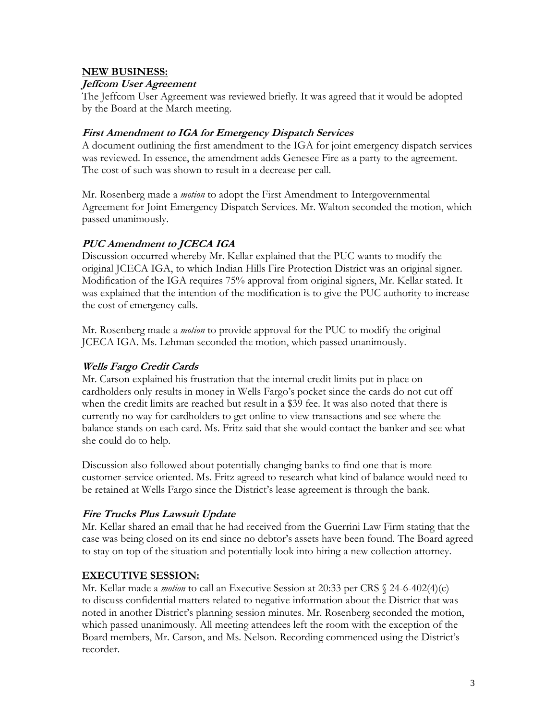#### **NEW BUSINESS:**

#### **Jeffcom User Agreement**

The Jeffcom User Agreement was reviewed briefly. It was agreed that it would be adopted by the Board at the March meeting.

#### **First Amendment to IGA for Emergency Dispatch Services**

A document outlining the first amendment to the IGA for joint emergency dispatch services was reviewed. In essence, the amendment adds Genesee Fire as a party to the agreement. The cost of such was shown to result in a decrease per call.

Mr. Rosenberg made a *motion* to adopt the First Amendment to Intergovernmental Agreement for Joint Emergency Dispatch Services. Mr. Walton seconded the motion, which passed unanimously.

# **PUC Amendment to JCECA IGA**

Discussion occurred whereby Mr. Kellar explained that the PUC wants to modify the original JCECA IGA, to which Indian Hills Fire Protection District was an original signer. Modification of the IGA requires 75% approval from original signers, Mr. Kellar stated. It was explained that the intention of the modification is to give the PUC authority to increase the cost of emergency calls.

Mr. Rosenberg made a *motion* to provide approval for the PUC to modify the original JCECA IGA. Ms. Lehman seconded the motion, which passed unanimously.

### **Wells Fargo Credit Cards**

Mr. Carson explained his frustration that the internal credit limits put in place on cardholders only results in money in Wells Fargo's pocket since the cards do not cut off when the credit limits are reached but result in a \$39 fee. It was also noted that there is currently no way for cardholders to get online to view transactions and see where the balance stands on each card. Ms. Fritz said that she would contact the banker and see what she could do to help.

Discussion also followed about potentially changing banks to find one that is more customer-service oriented. Ms. Fritz agreed to research what kind of balance would need to be retained at Wells Fargo since the District's lease agreement is through the bank.

#### **Fire Trucks Plus Lawsuit Update**

Mr. Kellar shared an email that he had received from the Guerrini Law Firm stating that the case was being closed on its end since no debtor's assets have been found. The Board agreed to stay on top of the situation and potentially look into hiring a new collection attorney.

#### **EXECUTIVE SESSION:**

Mr. Kellar made a *motion* to call an Executive Session at 20:33 per CRS § 24-6-402(4)(c) to discuss confidential matters related to negative information about the District that was noted in another District's planning session minutes. Mr. Rosenberg seconded the motion, which passed unanimously. All meeting attendees left the room with the exception of the Board members, Mr. Carson, and Ms. Nelson. Recording commenced using the District's recorder.